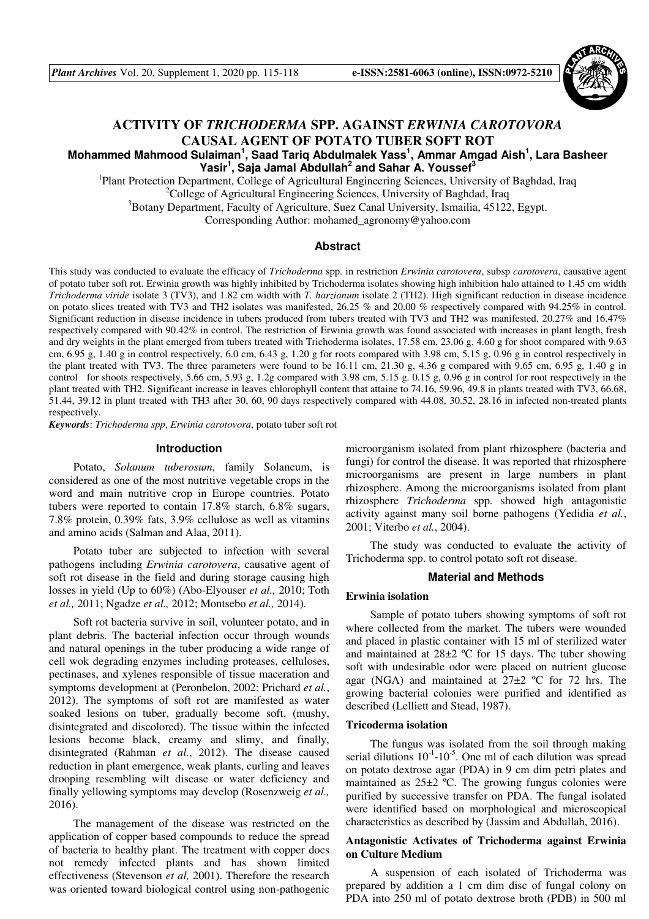*Plant Archives* Vol. 20, Supplement 1, 2020 pp. 115-118 **e-ISSN:2581-6063 (online), ISSN:0972-5210**



# **ACTIVITY OF** *TRICHODERMA* **SPP. AGAINST** *ERWINIA CAROTOVORA* **CAUSAL AGENT OF POTATO TUBER SOFT ROT**

# **Mohammed Mahmood Sulaiman<sup>1</sup> , Saad Tariq Abdulmalek Yass<sup>1</sup> , Ammar Amgad Aish<sup>1</sup> , Lara Basheer Yasir<sup>1</sup> , Saja Jamal Abdullah<sup>2</sup> and Sahar A. Youssef<sup>3</sup>**

<sup>1</sup>Plant Protection Department, College of Agricultural Engineering Sciences, University of Baghdad, Iraq <sup>2</sup>College of Agricultural Engineering Sciences, University of Baghdad, Iraq

<sup>3</sup>Botany Department, Faculty of Agriculture, Suez Canal University, Ismailia, 45122, Egypt.

Corresponding Author: mohamed\_agronomy@yahoo.com

## **Abstract**

This study was conducted to evaluate the efficacy of *Trichoderma* spp. in restriction *Erwinia carotovera*, subsp *carotovera*, causative agent of potato tuber soft rot. Erwinia growth was highly inhibited by Trichoderma isolates showing high inhibition halo attained to 1.45 cm width *Trichoderma viride* isolate 3 (TV3), and 1.82 cm width with *T. harzianum* isolate 2 (TH2). High significant reduction in disease incidence on potato slices treated with TV3 and TH2 isolates was manifested, 26.25 % and 20.00 % respectively compared with 94.25% in control. Significant reduction in disease incidence in tubers produced from tubers treated with TV3 and TH2 was manifested, 20.27% and 16.47% respectively compared with 90.42% in control. The restriction of Erwinia growth was found associated with increases in plant length, fresh and dry weights in the plant emerged from tubers treated with Trichoderma isolates, 17.58 cm, 23.06 g, 4.60 g for shoot compared with 9.63 cm, 6.95 g, 1.40 g in control respectively, 6.0 cm, 6.43 g, 1.20 g for roots compared with 3.98 cm, 5.15 g, 0.96 g in control respectively in the plant treated with TV3. The three parameters were found to be 16.11 cm, 21.30 g, 4.36 g compared with 9.65 cm, 6.95 g, 1.40 g in control for shoots respectively, 5.66 cm, 5.93 g, 1.2g compared with 3.98 cm, 5.15 g. 0.15 g, 0.96 g in control for root respectively in the plant treated with TH2. Significant increase in leaves chlorophyll content that attaine to 74.16, 59.96, 49.8 in plants treated with TV3, 66.68, 51.44, 39.12 in plant treated with TH3 after 30, 60, 90 days respectively compared with 44.08, 30.52, 28.16 in infected non-treated plants respectively.

*Keywords*: *Trichoderma spp*, *Erwinia carotovora*, potato tuber soft rot

### **Introduction**

Potato, *Solanum tuberosum*, family Solancum, is considered as one of the most nutritive vegetable crops in the word and main nutritive crop in Europe countries. Potato tubers were reported to contain 17.8% starch, 6.8% sugars, 7.8% protein, 0.39% fats, 3.9% cellulose as well as vitamins and amino acids (Salman and Alaa, 2011).

Potato tuber are subjected to infection with several pathogens including *Erwinia carotovera*, causative agent of soft rot disease in the field and during storage causing high losses in yield (Up to 60%) (Abo-Elyouser *et al.,* 2010; Toth *et al.,* 2011; Ngadze *et al.,* 2012; Montsebo *et al.,* 2014).

Soft rot bacteria survive in soil, volunteer potato, and in plant debris. The bacterial infection occur through wounds and natural openings in the tuber producing a wide range of cell wok degrading enzymes including proteases, celluloses, pectinases, and xylenes responsible of tissue maceration and symptoms development at (Peronbelon, 2002; Prichard *et al.*, 2012). The symptoms of soft rot are manifested as water soaked lesions on tuber, gradually become soft, (mushy, disintegrated and discolored). The tissue within the infected lesions become black, creamy and slimy, and finally, disintegrated (Rahman *et al.*, 2012). The disease caused reduction in plant emergence, weak plants, curling and leaves drooping resembling wilt disease or water deficiency and finally yellowing symptoms may develop (Rosenzweig *et al.,*  2016).

The management of the disease was restricted on the application of copper based compounds to reduce the spread of bacteria to healthy plant. The treatment with copper docs not remedy infected plants and has shown limited effectiveness (Stevenson *et al,* 2001). Therefore the research was oriented toward biological control using non-pathogenic microorganism isolated from plant rhizosphere (bacteria and fungi) for control the disease. It was reported that rhizosphere microorganisms are present in large numbers in plant rhizosphere. Among the microorganisms isolated from plant rhizosphere *Trichoderma* spp. showed high antagonistic activity against many soil borne pathogens (Yedidia *et al.*, 2001; Viterbo *et al.*, 2004).

The study was conducted to evaluate the activity of Trichoderma spp. to control potato soft rot disease.

#### **Material and Methods**

#### **Erwinia isolation**

Sample of potato tubers showing symptoms of soft rot where collected from the market. The tubers were wounded and placed in plastic container with 15 ml of sterilized water and maintained at  $28\pm2$  °C for 15 days. The tuber showing soft with undesirable odor were placed on nutrient glucose agar (NGA) and maintained at  $27\pm2$  °C for 72 hrs. The growing bacterial colonies were purified and identified as described (Lelliett and Stead, 1987).

### **Tricoderma isolation**

The fungus was isolated from the soil through making serial dilutions  $10^{-1}$ -10<sup>-5</sup>. One ml of each dilution was spread on potato dextrose agar (PDA) in 9 cm dim petri plates and maintained as 25±2 ºC. The growing fungus colonies were purified by successive transfer on PDA. The fungal isolated were identified based on morphological and microscopical characteristics as described by (Jassim and Abdullah, 2016).

### **Antagonistic Activates of Trichoderma against Erwinia on Culture Medium**

A suspension of each isolated of Trichoderma was prepared by addition a 1 cm dim disc of fungal colony on PDA into 250 ml of potato dextrose broth (PDB) in 500 ml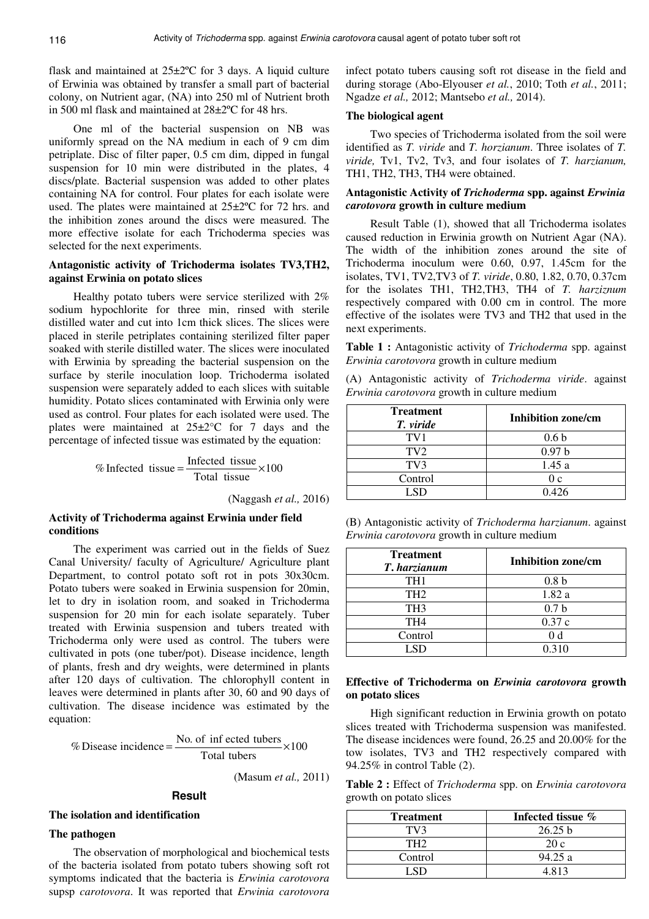flask and maintained at 25±2ºC for 3 days. A liquid culture of Erwinia was obtained by transfer a small part of bacterial colony, on Nutrient agar, (NA) into 250 ml of Nutrient broth in 500 ml flask and maintained at 28±2ºC for 48 hrs.

One ml of the bacterial suspension on NB was uniformly spread on the NA medium in each of 9 cm dim petriplate. Disc of filter paper, 0.5 cm dim, dipped in fungal suspension for 10 min were distributed in the plates, 4 discs/plate. Bacterial suspension was added to other plates containing NA for control. Four plates for each isolate were used. The plates were maintained at 25±2ºC for 72 hrs. and the inhibition zones around the discs were measured. The more effective isolate for each Trichoderma species was selected for the next experiments.

### **Antagonistic activity of Trichoderma isolates TV3,TH2, against Erwinia on potato slices**

Healthy potato tubers were service sterilized with 2% sodium hypochlorite for three min, rinsed with sterile distilled water and cut into 1cm thick slices. The slices were placed in sterile petriplates containing sterilized filter paper soaked with sterile distilled water. The slices were inoculated with Erwinia by spreading the bacterial suspension on the surface by sterile inoculation loop. Trichoderma isolated suspension were separately added to each slices with suitable humidity. Potato slices contaminated with Erwinia only were used as control. Four plates for each isolated were used. The plates were maintained at 25±2°C for 7 days and the percentage of infected tissue was estimated by the equation:

> 100 Total tissue % Infected tissue  $=\frac{\text{Infected tissue}}{\text{max}+\text{time}} \times$

> > (Naggash *et al.,* 2016)

### **Activity of Trichoderma against Erwinia under field conditions**

The experiment was carried out in the fields of Suez Canal University/ faculty of Agriculture/ Agriculture plant Department, to control potato soft rot in pots 30x30cm. Potato tubers were soaked in Erwinia suspension for 20min, let to dry in isolation room, and soaked in Trichoderma suspension for 20 min for each isolate separately. Tuber treated with Erwinia suspension and tubers treated with Trichoderma only were used as control. The tubers were cultivated in pots (one tuber/pot). Disease incidence, length of plants, fresh and dry weights, were determined in plants after 120 days of cultivation. The chlorophyll content in leaves were determined in plants after 30, 60 and 90 days of cultivation. The disease incidence was estimated by the equation:

$$
\% \text{Disease incidence} = \frac{\text{No. of infected tubes}}{\text{Total tubes}} \times 100
$$

(Masum *et al.,* 2011)

# **Result**

#### **The isolation and identification**

#### **The pathogen**

The observation of morphological and biochemical tests of the bacteria isolated from potato tubers showing soft rot symptoms indicated that the bacteria is *Erwinia carotovora*  supsp *carotovora*. It was reported that *Erwinia carotovora* 

infect potato tubers causing soft rot disease in the field and during storage (Abo-Elyouser *et al.*, 2010; Toth *et al.*, 2011; Ngadze *et al.,* 2012; Mantsebo *et al.,* 2014).

### **The biological agent**

Two species of Trichoderma isolated from the soil were identified as *T. viride* and *T. horzianum*. Three isolates of *T. viride,* Tv1, Tv2, Tv3, and four isolates of *T. harzianum,* TH1, TH2, TH3, TH4 were obtained.

### **Antagonistic Activity of** *Trichoderma* **spp. against** *Erwinia carotovora* **growth in culture medium**

Result Table (1), showed that all Trichoderma isolates caused reduction in Erwinia growth on Nutrient Agar (NA). The width of the inhibition zones around the site of Trichoderma inoculum were 0.60, 0.97, 1.45cm for the isolates, TV1, TV2,TV3 of *T. viride*, 0.80, 1.82, 0.70, 0.37cm for the isolates TH1, TH2,TH3, TH4 of *T. harziznum* respectively compared with 0.00 cm in control. The more effective of the isolates were TV3 and TH2 that used in the next experiments.

**Table 1 :** Antagonistic activity of *Trichoderma* spp. against *Erwinia carotovora* growth in culture medium

(A) Antagonistic activity of *Trichoderma viride*. against *Erwinia carotovora* growth in culture medium

| <b>Treatment</b><br>T. viride | <b>Inhibition zone/cm</b> |  |
|-------------------------------|---------------------------|--|
| TV <sub>1</sub>               | 0.6 <sub>b</sub>          |  |
| TV <sub>2</sub>               | 0.97 <sub>b</sub>         |  |
| TV <sub>3</sub>               | 1.45a                     |  |
| Control                       | 0 c                       |  |
| (5)                           | 0.426                     |  |

| (B) Antagonistic activity of <i>Trichoderma harzianum</i> . against |  |
|---------------------------------------------------------------------|--|
| <i>Erwinia carotovora</i> growth in culture medium                  |  |

| <b>Treatment</b><br>T. harzianum | <b>Inhibition zone/cm</b> |  |
|----------------------------------|---------------------------|--|
| TH1                              | 0.8 <sub>b</sub>          |  |
| TH <sub>2</sub>                  | 1.82a                     |  |
| TH <sub>3</sub>                  | 0.7 <sub>b</sub>          |  |
| TH <sub>4</sub>                  | 0.37c                     |  |
| Control                          |                           |  |
| $\Gamma$                         | 0.310                     |  |

### **Effective of Trichoderma on** *Erwinia carotovora* **growth on potato slices**

High significant reduction in Erwinia growth on potato slices treated with Trichoderma suspension was manifested. The disease incidences were found, 26.25 and 20.00% for the tow isolates, TV3 and TH2 respectively compared with 94.25% in control Table (2).

**Table 2 :** Effect of *Trichoderma* spp. on *Erwinia carotovora* growth on potato slices

| <b>Treatment</b> | Infected tissue %  |
|------------------|--------------------|
| TV3              | 26.25 <sub>b</sub> |
| TH2              | 20c                |
| Control          | 94.25 a            |
|                  | 4813               |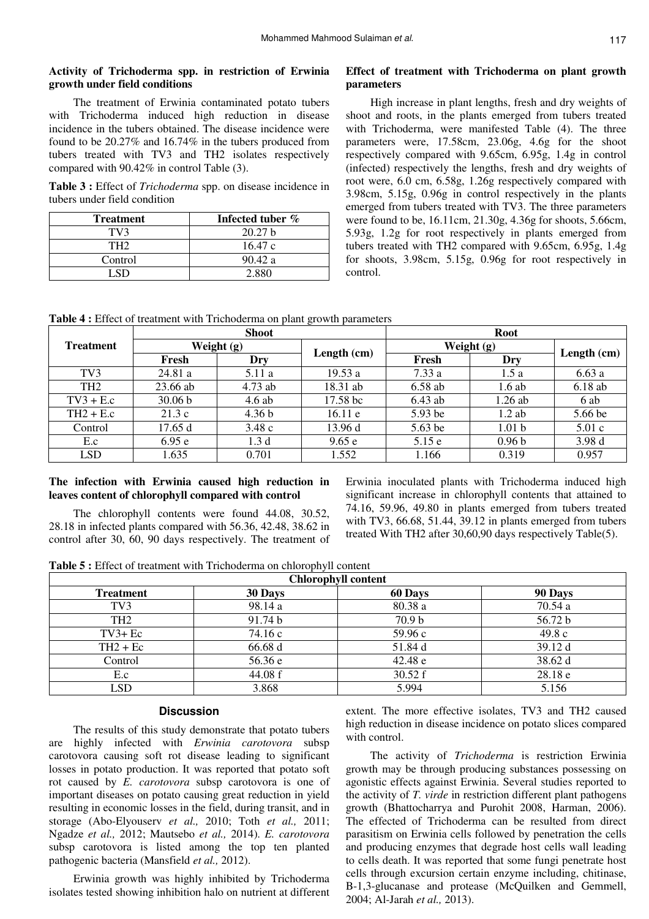### **Activity of Trichoderma spp. in restriction of Erwinia growth under field conditions**

The treatment of Erwinia contaminated potato tubers with Trichoderma induced high reduction in disease incidence in the tubers obtained. The disease incidence were found to be 20.27% and 16.74% in the tubers produced from tubers treated with TV3 and TH2 isolates respectively compared with 90.42% in control Table (3).

**Table 3 :** Effect of *Trichoderma* spp. on disease incidence in tubers under field condition

| <b>Treatment</b> | Infected tuber %   |
|------------------|--------------------|
| TV3              | 20.27 <sub>b</sub> |
| TH2              | 16.47 c            |
| Control          | 90.42 a            |
|                  | 2.880              |

### **Effect of treatment with Trichoderma on plant growth parameters**

High increase in plant lengths, fresh and dry weights of shoot and roots, in the plants emerged from tubers treated with Trichoderma, were manifested Table (4). The three parameters were, 17.58cm, 23.06g, 4.6g for the shoot respectively compared with 9.65cm, 6.95g, 1.4g in control (infected) respectively the lengths, fresh and dry weights of root were, 6.0 cm, 6.58g, 1.26g respectively compared with 3.98cm, 5.15g, 0.96g in control respectively in the plants emerged from tubers treated with TV3. The three parameters were found to be, 16.11cm, 21.30g, 4.36g for shoots, 5.66cm, 5.93g, 1.2g for root respectively in plants emerged from tubers treated with TH2 compared with 9.65cm, 6.95g, 1.4g for shoots, 3.98cm, 5.15g, 0.96g for root respectively in control.

**Table 4 :** Effect of treatment with Trichoderma on plant growth parameters

|                  | <b>Shoot</b> |                   | <b>Root</b> |            |                   |             |
|------------------|--------------|-------------------|-------------|------------|-------------------|-------------|
| <b>Treatment</b> |              | Weight $(g)$      |             | Weight (g) |                   |             |
|                  | Fresh        | Dry               | Length (cm) | Fresh      | Dry               | Length (cm) |
| TV <sub>3</sub>  | 24.81 a      | 5.11 a            | 19.53 a     | 7.33a      | 1.5a              | 6.63a       |
| TH <sub>2</sub>  | 23.66 ab     | $4.73$ ab         | 18.31 ab    | $6.58$ ab  | 1.6ab             | 6.18ab      |
| $TV3 + E.c$      | 30.06 b      | $4.6$ ab          | 17.58 bc    | $6.43$ ab  | 1.26ab            | 6 ab        |
| $TH2 + E.c$      | 21.3c        | 4.36 <sub>b</sub> | 16.11e      | 5.93 be    | $1.2$ ab          | 5.66 be     |
| Control          | 17.65 d      | 3.48c             | 13.96 d     | $5.63$ be  | 1.01 <sub>b</sub> | 5.01c       |
| E.c              | 6.95e        | 1.3 <sub>d</sub>  | 9.65e       | 5.15 e     | 0.96 <sub>b</sub> | 3.98 d      |
| <b>LSD</b>       | 1.635        | 0.701             | 1.552       | 1.166      | 0.319             | 0.957       |

### **The infection with Erwinia caused high reduction in leaves content of chlorophyll compared with control**

The chlorophyll contents were found 44.08, 30.52, 28.18 in infected plants compared with 56.36, 42.48, 38.62 in control after 30, 60, 90 days respectively. The treatment of Erwinia inoculated plants with Trichoderma induced high significant increase in chlorophyll contents that attained to 74.16, 59.96, 49.80 in plants emerged from tubers treated with TV3, 66.68, 51.44, 39.12 in plants emerged from tubers treated With TH2 after 30,60,90 days respectively Table(5).

**Table 5 :** Effect of treatment with Trichoderma on chlorophyll content

| <b>Chlorophyll content</b> |         |                   |         |
|----------------------------|---------|-------------------|---------|
| <b>Treatment</b>           | 30 Days | 60 Days           | 90 Days |
| TV <sub>3</sub>            | 98.14 a | 80.38 a           | 70.54 a |
| TH <sub>2</sub>            | 91.74 b | 70.9 <sub>b</sub> | 56.72 b |
| $TV3 + Ec$                 | 74.16 c | 59.96 c           | 49.8c   |
| $TH2 + Ec$                 | 66.68 d | 51.84 d           | 39.12 d |
| Control                    | 56.36 e | 42.48 e           | 38.62 d |
| E.c                        | 44.08 f | 30.52 f           | 28.18e  |
| LSD                        | 3.868   | 5.994             | 5.156   |

### **Discussion**

The results of this study demonstrate that potato tubers are highly infected with *Erwinia carotovora* subsp carotovora causing soft rot disease leading to significant losses in potato production. It was reported that potato soft rot caused by *E. carotovora* subsp carotovora is one of important diseases on potato causing great reduction in yield resulting in economic losses in the field, during transit, and in storage (Abo-Elyouserv *et al.,* 2010; Toth *et al.,* 2011; Ngadze *et al.,* 2012; Mautsebo *et al.,* 2014). *E. carotovora*  subsp carotovora is listed among the top ten planted pathogenic bacteria (Mansfield *et al.,* 2012).

Erwinia growth was highly inhibited by Trichoderma isolates tested showing inhibition halo on nutrient at different extent. The more effective isolates, TV3 and TH2 caused high reduction in disease incidence on potato slices compared with control.

The activity of *Trichoderma* is restriction Erwinia growth may be through producing substances possessing on agonistic effects against Erwinia. Several studies reported to the activity of *T. virde* in restriction different plant pathogens growth (Bhattocharrya and Purohit 2008, Harman, 2006). The effected of Trichoderma can be resulted from direct parasitism on Erwinia cells followed by penetration the cells and producing enzymes that degrade host cells wall leading to cells death. It was reported that some fungi penetrate host cells through excursion certain enzyme including, chitinase, B-1,3-glucanase and protease (McQuilken and Gemmell, 2004; Al-Jarah *et al.,* 2013).